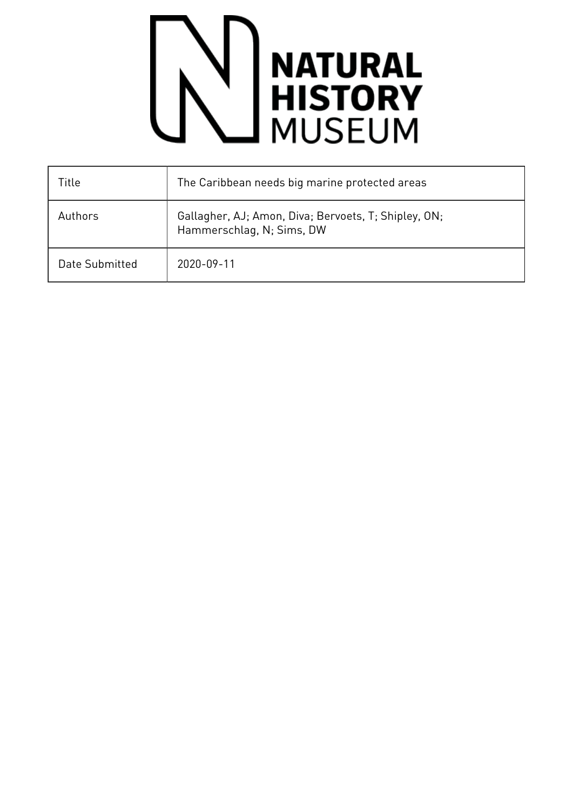## **NATURAL<br>HISTORY**<br>MUSEUM

| Title          | The Caribbean needs big marine protected areas                                    |
|----------------|-----------------------------------------------------------------------------------|
| Authors        | Gallagher, AJ; Amon, Diva; Bervoets, T; Shipley, ON;<br>Hammerschlag, N; Sims, DW |
| Date Submitted | 2020-09-11                                                                        |